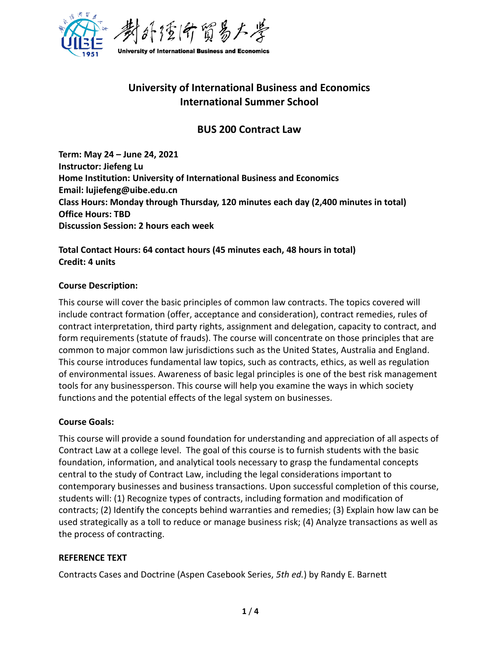

# **University of International Business and Economics International Summer School**

# **BUS 200 Contract Law**

**Term: May 24 – June 24, 2021 Instructor: Jiefeng Lu Home Institution: University of International Business and Economics Email: lujiefeng@uibe.edu.cn Class Hours: Monday through Thursday, 120 minutes each day (2,400 minutes in total) Office Hours: TBD Discussion Session: 2 hours each week** 

## **Total Contact Hours: 64 contact hours (45 minutes each, 48 hours in total) Credit: 4 units**

### **Course Description:**

This course will cover the basic principles of common law contracts. The topics covered will include contract formation (offer, acceptance and consideration), contract remedies, rules of contract interpretation, third party rights, assignment and delegation, capacity to contract, and form requirements (statute of frauds). The course will concentrate on those principles that are common to major common law jurisdictions such as the United States, Australia and England. This course introduces fundamental law topics, such as contracts, ethics, as well as regulation of environmental issues. Awareness of basic legal principles is one of the best risk management tools for any businessperson. This course will help you examine the ways in which society functions and the potential effects of the legal system on businesses.

#### **Course Goals:**

This course will provide a sound foundation for understanding and appreciation of all aspects of Contract Law at a college level. The goal of this course is to furnish students with the basic foundation, information, and analytical tools necessary to grasp the fundamental concepts central to the study of Contract Law, including the legal considerations important to contemporary businesses and business transactions. Upon successful completion of this course, students will: (1) Recognize types of contracts, including formation and modification of contracts; (2) Identify the concepts behind warranties and remedies; (3) Explain how law can be used strategically as a toll to reduce or manage business risk; (4) Analyze transactions as well as the process of contracting.

#### **REFERENCE TEXT**

Contracts Cases and Doctrine (Aspen Casebook Series, *5th ed.*) by Randy E. Barnett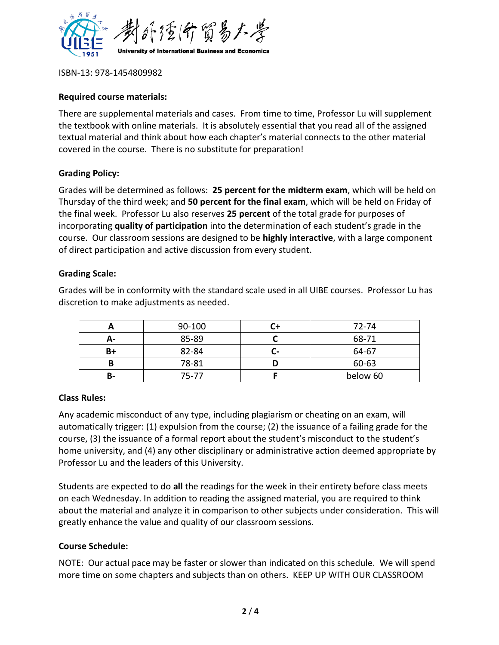

ISBN-13: 978-1454809982

### **Required course materials:**

There are supplemental materials and cases. From time to time, Professor Lu will supplement the textbook with online materials. It is absolutely essential that you read all of the assigned textual material and think about how each chapter's material connects to the other material covered in the course. There is no substitute for preparation!

### **Grading Policy:**

Grades will be determined as follows: **25 percent for the midterm exam**, which will be held on Thursday of the third week; and **50 percent for the final exam**, which will be held on Friday of the final week. Professor Lu also reserves **25 percent** of the total grade for purposes of incorporating **quality of participation** into the determination of each student's grade in the course. Our classroom sessions are designed to be **highly interactive**, with a large component of direct participation and active discussion from every student.

### **Grading Scale:**

Grades will be in conformity with the standard scale used in all UIBE courses. Professor Lu has discretion to make adjustments as needed.

|    | 90-100 |    | 72-74    |
|----|--------|----|----------|
| А- | 85-89  |    | 68-71    |
| B+ | 82-84  | ۰. | 64-67    |
|    | 78-81  |    | 60-63    |
| В- | 75-77  |    | below 60 |

#### **Class Rules:**

Any academic misconduct of any type, including plagiarism or cheating on an exam, will automatically trigger: (1) expulsion from the course; (2) the issuance of a failing grade for the course, (3) the issuance of a formal report about the student's misconduct to the student's home university, and (4) any other disciplinary or administrative action deemed appropriate by Professor Lu and the leaders of this University.

Students are expected to do **all** the readings for the week in their entirety before class meets on each Wednesday. In addition to reading the assigned material, you are required to think about the material and analyze it in comparison to other subjects under consideration. This will greatly enhance the value and quality of our classroom sessions.

## **Course Schedule:**

NOTE: Our actual pace may be faster or slower than indicated on this schedule. We will spend more time on some chapters and subjects than on others. KEEP UP WITH OUR CLASSROOM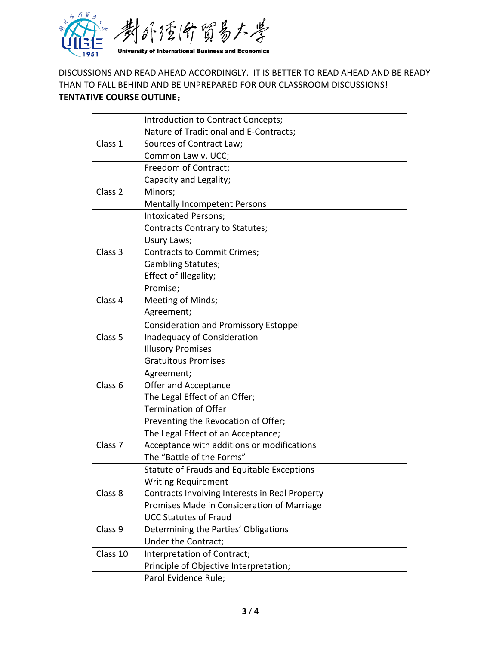

## DISCUSSIONS AND READ AHEAD ACCORDINGLY. IT IS BETTER TO READ AHEAD AND BE READY THAN TO FALL BEHIND AND BE UNPREPARED FOR OUR CLASSROOM DISCUSSIONS! **TENTATIVE COURSE OUTLINE**:

|                    | Introduction to Contract Concepts;             |
|--------------------|------------------------------------------------|
|                    | Nature of Traditional and E-Contracts;         |
| Class 1            | Sources of Contract Law;                       |
|                    | Common Law v. UCC;                             |
|                    | <b>Freedom of Contract:</b>                    |
|                    | Capacity and Legality;                         |
| Class <sub>2</sub> | Minors;                                        |
|                    | <b>Mentally Incompetent Persons</b>            |
|                    | Intoxicated Persons;                           |
|                    | Contracts Contrary to Statutes;                |
|                    | Usury Laws;                                    |
| Class <sub>3</sub> | <b>Contracts to Commit Crimes;</b>             |
|                    | <b>Gambling Statutes;</b>                      |
|                    | Effect of Illegality;                          |
|                    | Promise;                                       |
| Class <sub>4</sub> | Meeting of Minds;                              |
|                    | Agreement;                                     |
|                    | <b>Consideration and Promissory Estoppel</b>   |
| Class <sub>5</sub> | <b>Inadequacy of Consideration</b>             |
|                    | <b>Illusory Promises</b>                       |
|                    | <b>Gratuitous Promises</b>                     |
|                    | Agreement;                                     |
| Class <sub>6</sub> | Offer and Acceptance                           |
|                    | The Legal Effect of an Offer;                  |
|                    | <b>Termination of Offer</b>                    |
|                    | Preventing the Revocation of Offer;            |
|                    | The Legal Effect of an Acceptance;             |
| Class <sub>7</sub> | Acceptance with additions or modifications     |
|                    | The "Battle of the Forms"                      |
|                    | Statute of Frauds and Equitable Exceptions     |
|                    | <b>Writing Requirement</b>                     |
| Class 8            | Contracts Involving Interests in Real Property |
|                    | Promises Made in Consideration of Marriage     |
|                    | <b>UCC Statutes of Fraud</b>                   |
| Class 9            | Determining the Parties' Obligations           |
|                    | Under the Contract;                            |
| Class 10           | Interpretation of Contract;                    |
|                    | Principle of Objective Interpretation;         |
|                    | Parol Evidence Rule;                           |